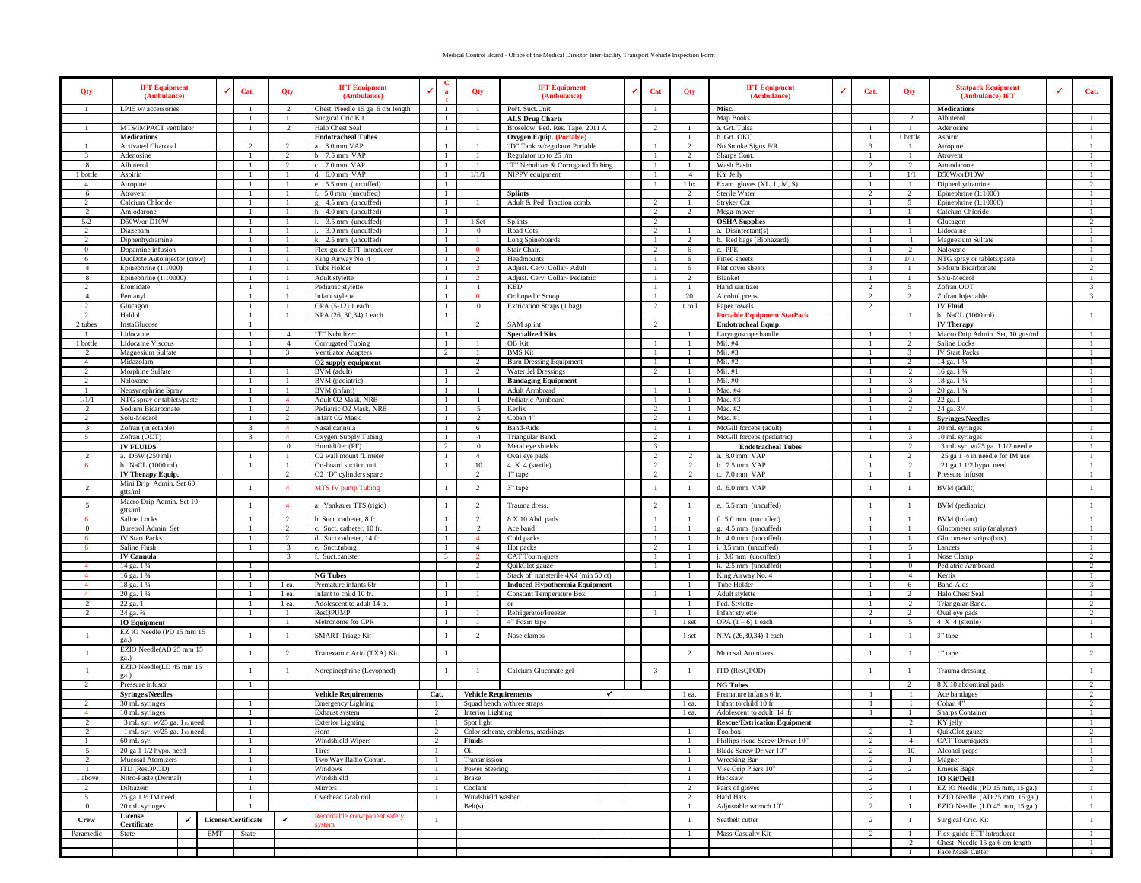## Medical Control Board - Office of the Medical Director Inter-facility Transport Vehicle Inspection Form

| Qty                             | <b>IFT Equipment</b><br>(Ambulance)              |  |                     | Cat.           | Qty                             | <b>IFT Equipment</b><br>(Ambulance)                  |                | a                              | Qty                      | <b>IFT Equipment</b><br>(Ambulance)                         |              | Cat                     | Qty            | <b>IFT Equipment</b><br>(Ambulance)          | v | Cat.                     | Qty                   | <b>Statpack Equipment</b><br>(Ambulance) IFT           | Cat.                 |
|---------------------------------|--------------------------------------------------|--|---------------------|----------------|---------------------------------|------------------------------------------------------|----------------|--------------------------------|--------------------------|-------------------------------------------------------------|--------------|-------------------------|----------------|----------------------------------------------|---|--------------------------|-----------------------|--------------------------------------------------------|----------------------|
|                                 | LP15 w/ accessories                              |  |                     |                | $\overline{2}$                  | Chest Needle 15 ga 6 cm length                       |                | -1                             | - 1                      | Port. Suct. Unit                                            |              |                         |                | Misc.                                        |   |                          |                       | Medications                                            |                      |
|                                 | MTS/IMPACT ventilator                            |  |                     |                |                                 | Surgical Cric Kit<br>Halo Chest Seal                 |                | $\mathbf{1}$                   |                          | <b>ALS Drug Charts</b>                                      |              | 2                       |                | Map Books<br>a. Grt. Tulsa                   |   |                          |                       | Albuterol                                              |                      |
|                                 | <b>Medications</b>                               |  |                     |                |                                 | <b>Endotracheal Tubes</b>                            |                | $\mathbf{1}$                   |                          | Broselow Ped. Res. Tape, 2011 A<br>Oxygen Equip. (Portable) |              |                         |                | b. Grt. OKC                                  |   |                          | 1 bottle              | Adenosine<br>Aspirin                                   |                      |
|                                 | Activated Charcoal                               |  |                     |                | 2                               | a. 8.0 mm VAP                                        |                |                                |                          | "D" Tank w/regulator Portable                               |              |                         |                | No Smoke Signs F/R                           |   |                          | $\overline{1}$        | Atropine                                               |                      |
|                                 | Adenosine                                        |  |                     |                | $\overline{2}$                  | b. 7.5 mm VAP                                        |                | -1                             |                          | Regulator up to 25 l/m                                      |              |                         | $\mathcal{L}$  | Sharps Cont.                                 |   |                          | -1                    | Atrovent                                               |                      |
| $\mathbf{8}$                    | Albuterol                                        |  |                     |                | $\overline{2}$                  | c. 7.0 mm VAP                                        |                | $\overline{1}$                 |                          | "T" Nebulizer & Corrugated Tubing                           |              |                         |                | Wash Basin                                   |   |                          | $\overline{2}$        | Amiodarone                                             |                      |
| 1 bottle                        | Aspirin                                          |  |                     |                |                                 | d. 6.0 mm VAP                                        |                | -1                             | 1/1/1                    | NIPPV equipment                                             |              |                         | $\overline{4}$ | KY Jelly                                     |   |                          | 1/1                   | D50W/orD10W                                            |                      |
| $\overline{4}$                  | Atropine                                         |  |                     |                | $\mathbf{1}$                    | e. 5.5 mm (uncuffed)                                 |                | $\mathbf{1}$                   |                          |                                                             |              | $\mathbf{1}$            | 1 bx           | Exam gloves (XL, L, M, S)                    |   |                          | -1                    | Diphenhydramine                                        |                      |
| -6                              | Atrovent                                         |  |                     |                | -1                              | f. 5.0 mm (uncuffed)                                 |                | -1                             |                          | <b>Splints</b>                                              |              |                         | $\mathcal{L}$  | Sterile Water                                |   | $\mathcal{L}$            | 2                     | Epinephrine $(1:1000)$                                 |                      |
| $\mathfrak{D}$                  | Calcium Chloride                                 |  |                     |                |                                 | g. 4.5 mm (uncuffed)                                 |                | -1                             |                          | Adult & Ped Traction comb.                                  |              | 2                       |                | Stryker Cot                                  |   |                          | 5                     | Epinephrine (1:10000)                                  |                      |
| $\mathfrak{D}$                  | Amiodarone                                       |  |                     |                |                                 | h. 4.0 mm (uncuffed)                                 |                | $\mathbf{1}$                   |                          |                                                             |              | 2                       | $\mathcal{L}$  | Mega-mover                                   |   |                          |                       | Calcium Chloride                                       |                      |
| 5/2                             | D50W/or D10W                                     |  |                     |                |                                 | 3.5 mm (uncuffed)                                    |                | $\mathbf{1}$                   | 1 Set                    | Splints                                                     |              | $\overline{2}$          |                | <b>OSHA Supplies</b>                         |   |                          |                       | Glucagon                                               |                      |
|                                 | Diazepam                                         |  |                     |                |                                 | 3.0 mm (uncuffed)                                    |                | $\mathbf{1}$                   | $\overline{0}$           | Road Cots                                                   |              | $\overline{\mathbf{c}}$ |                | a. Disinfectant(s)                           |   |                          |                       | Lidocaine                                              |                      |
| $\mathbf{0}$                    | Diphenhydramine<br>Dopamine infusion             |  |                     |                | 1<br>-1                         | k. 2.5 mm (uncuffed)<br>Flex-guide ETT Introducer    |                | $\mathbf{1}$<br>-1             | $\Omega$                 | Long Spineboards<br>Stair Chair.                            |              | 1<br>2                  | 6              | b. Red bags (Biohazard)<br>c. PPE            |   |                          | 2                     | Magnesium Sulfate<br>Naloxone                          |                      |
| 6                               | DuoDote Autoinjector (crew)                      |  |                     |                |                                 | King Airway No. 4                                    |                | -1                             | $\overline{2}$           | Headmounts                                                  |              | $\mathbf{1}$            | 6              | Fitted sheets                                |   |                          | 1/1                   | NTG spray or tablets/paste                             |                      |
| $\overline{4}$                  | Epinephrine (1:1000)                             |  |                     |                |                                 | Tube Holder                                          |                | $\mathbf{1}$                   |                          | Adjust. Cerv. Collar- Adult                                 |              | $\mathbf{1}$            | 6              | Flat cover sheets                            |   |                          |                       | Sodium Bicarbonate                                     | $\mathcal{L}$        |
| 8                               | Epinephrine (1:10000)                            |  |                     |                |                                 | Adult stylette                                       |                | $\mathbf{1}$                   |                          | Adjust. Cerv Collar-Pediatric                               |              |                         | $\overline{2}$ | Blanket                                      |   |                          |                       | Solu-Medrol                                            | $\overline{1}$       |
|                                 | Etomidate                                        |  |                     |                |                                 | Pediatric stylette                                   |                | $\overline{1}$                 |                          | KED                                                         |              | -1                      |                | Hand sanitizer                               |   |                          | $\sim$                | Zofran ODT                                             |                      |
| $\overline{4}$                  | Fentanyl                                         |  |                     |                | -1                              | Infant stylette                                      |                | $\mathbf{1}$                   | $\Omega$                 | Orthopedic Scoop                                            |              | -1                      | 20             | Alcohol preps                                |   | $\overline{2}$           | 2                     | Zofran Injectable                                      | 3                    |
| 2                               | Glucagon                                         |  |                     |                | -1                              | OPA (5-12) 1 each                                    |                | -1                             | $\mathbf{0}$             | Extrication Straps (1 bag)                                  |              | 2                       | 1 roll         | Paper towels                                 |   | 2                        |                       | <b>IV Fluid</b>                                        |                      |
| $\mathcal{L}$                   | Haldol                                           |  |                     |                | -1                              | NPA (26, 30,34) 1 each                               |                | -1                             |                          |                                                             |              |                         |                | <b>Portable Equip</b><br>ment StatPack       |   |                          |                       | b. NaCL (1000 ml)                                      |                      |
| 2 tubes                         | InstaGlucose                                     |  |                     |                |                                 |                                                      |                |                                | $\mathcal{L}$            | SAM splint                                                  |              | 2                       |                | <b>Endotracheal Equip.</b>                   |   |                          |                       | <b>IV Therapy</b>                                      |                      |
|                                 | Lidocaine                                        |  |                     |                | $\mathbf{A}$                    | "T" Nebulizer                                        |                | -1                             |                          | <b>Specialized Kits</b>                                     |              |                         |                | Laryngoscope handle                          |   |                          |                       | Macro Drip Admin. Set, 10 gtts/ml                      |                      |
| 1 bottle                        | Lidocaine Viscous                                |  |                     |                | $\overline{4}$                  | Corrugated Tubing                                    |                | -1                             |                          | <b>OB</b> Kit                                               |              |                         |                | Mil. #4                                      |   |                          |                       | Saline Locks                                           |                      |
| 2                               | Magnesium Sulfate                                |  |                     |                | $\overline{3}$                  | <b>Ventilator Adapters</b>                           |                | 2                              |                          | <b>BMS</b> Kit                                              |              | -1                      |                | Mil. #3                                      |   |                          | -3                    | <b>IV Start Packs</b>                                  | -1                   |
| 4                               | Midazolam                                        |  |                     |                |                                 | O2 supply equipment                                  |                |                                | 2                        | <b>Burn Dressing Equipment</b>                              |              | -1                      |                | Mil. #2                                      |   |                          | 2                     | 14 ga. 1 1/4                                           |                      |
| $\mathcal{L}$<br>$\mathfrak{D}$ | Morphine Sulfate<br>Naloxone                     |  |                     |                |                                 | BVM (adult)<br>BVM (pediatric)                       |                | $\mathbf{1}$<br>$\mathbf{1}$   |                          | Water Jel Dressings                                         |              | $\mathcal{D}$           |                | Mil. #1<br>Mil. #0                           |   |                          | $\overline{2}$        | 16 ga. 1 1/4                                           |                      |
|                                 | Neosynephrine Spray                              |  |                     |                |                                 | BVM (infant)                                         |                | $\mathbf{1}$                   |                          | <b>Bandaging Equipment</b><br>Adult Armboard                |              |                         |                | Mac. #4                                      |   |                          |                       | 18 ga. 1 1/4<br>20 ga. 1 1/4                           |                      |
| 1/1/1                           | NTG spray or tablets/paste                       |  |                     |                | $\overline{4}$                  | Adult O2 Mask, NRB                                   |                | -1                             |                          | Pediatric Armboard                                          |              | -1                      |                | Mac. #3                                      |   |                          |                       | $\overline{22}$ ga. 1                                  |                      |
| 2                               | Sodium Bicarbonate                               |  |                     |                | $\overline{2}$                  | Pediatric O2 Mask, NRB                               |                | $\mathbf{1}$                   | 5                        | Kerlix                                                      |              | $\overline{2}$          |                | Mac. #2                                      |   |                          | 2                     | 24 ga. 3/4                                             | -1                   |
| 2                               | Solu-Medrol                                      |  |                     |                | <sup>2</sup>                    | Infant O2 Mask                                       |                | -1                             | $\mathcal{L}$            | Coban 4"                                                    |              | $\overline{a}$          |                | Mac. $#1$                                    |   |                          |                       | <b>Syringes/Needles</b>                                |                      |
| $\mathcal{Z}$                   | Zofran (injectable)                              |  |                     |                | $\overline{4}$                  | Nasal cannula                                        |                | -1                             | 6                        | <b>Band-Aids</b>                                            |              | -1                      |                | McGill forceps (adult)                       |   |                          |                       | 30 mL syringes                                         |                      |
| $\overline{5}$                  | Zofran (ODT)                                     |  |                     |                | $\overline{4}$                  | Oxygen Supply Tubing                                 |                | $\mathbf{1}$                   | $\overline{4}$           | Triangular Band.                                            |              | 2                       |                | McGill forceps (pediatric)                   |   |                          |                       | 10 mL syringes                                         |                      |
|                                 | <b>IV FLUIDS</b>                                 |  |                     |                | $\Omega$                        | Humidifier (PF)                                      |                | $\overline{2}$                 | $\Omega$                 | Metal eye shields                                           |              | $\overline{3}$          |                | <b>Endotracheal Tubes</b>                    |   |                          |                       | 3 mL syr. w/25 ga. 1 1/2 needle                        |                      |
|                                 | a. D5W (250 ml)                                  |  |                     |                |                                 | O2 wall mount fl. meter                              |                | $\mathbf{1}$                   | $\overline{4}$           | Oval eye pads                                               |              | $\mathcal{D}$           |                | a. 8.0 mm VAP                                |   |                          |                       | 25 ga 1 1/2 in needle for IM use                       |                      |
| -6                              | b. NaCL (1000 ml)                                |  |                     |                | -1                              | On-board suction unit                                |                | $\mathbf{1}$                   | 10                       | $4 X 4$ (sterile)                                           |              | $\overline{2}$          | 2              | b. 7.5 mm VAP                                |   |                          | 2                     | 21 ga 1 1/2 hypo. need                                 | -1                   |
|                                 | IV Therapy Equip.                                |  |                     |                | $\overline{2}$                  | O2 "D" cylinders spare                               |                |                                |                          | l" tape                                                     |              | 2                       | 2              | c. 7.0 mm VAP                                |   |                          | -1                    | Pressure Infusor                                       |                      |
| $\overline{2}$                  | Mini Drip Admin. Set 60<br>gtts/ml               |  |                     |                | $\overline{4}$                  | MTS IV pump Tubing                                   |                | $\mathbf{1}$                   | 2                        | 3" tape                                                     |              | -1                      |                | d. 6.0 mm VAP                                |   | -1                       | $\overline{1}$        | BVM (adult)                                            |                      |
| 5                               | Macro Drip Admin. Set 10<br>gtts/ml              |  |                     |                | $\overline{4}$                  | a. Yankauer TTS (rigid)                              |                | -1                             | 2<br>$\overline{2}$      | Trauma dress.                                               |              | $\overline{c}$          |                | e. 5.5 mm (uncuffed)                         |   |                          | -1                    | BVM (pediatric)                                        | $\overline{1}$       |
|                                 | Saline Locks                                     |  |                     |                | $\overline{2}$<br>$\mathcal{D}$ | b. Suct. catheter, 8 fr                              |                | $\overline{1}$<br>$\mathbf{1}$ | $\mathcal{D}$            | 8 X 10 Abd. pads                                            |              |                         |                | f. 5.0 mm (uncuffed)                         |   |                          |                       | BVM (infant)                                           |                      |
| $\Omega$                        | Buretrol Admin. Set<br><b>IV Start Packs</b>     |  |                     |                | $\mathcal{D}$                   | c. Suct. catheter, 10 fr<br>d. Suct.catheter, 14 fr. |                | -1                             | $\overline{4}$           | Ace band<br>Cold packs                                      |              | -1                      |                | g. 4.5 mm (uncuffed)<br>h. 4.0 mm (uncuffed) |   |                          |                       | Glucometer strip (analyzer)<br>Glucometer strips (box) |                      |
|                                 | Saline Flush                                     |  |                     |                | $\overline{\mathbf{3}}$         | e. Suct.tubing                                       |                | 1                              | $\overline{4}$           | Hot packs                                                   |              | $\overline{2}$          |                | i. 3.5 mm (uncuffed)                         |   |                          |                       | Lancets                                                |                      |
|                                 | <b>IV Cannula</b>                                |  |                     |                | 3                               | f. Suct.canister                                     |                | 3                              |                          | <b>CAT</b> Tourniquets                                      |              | -1                      |                | j. 3.0 mm (uncuffed)                         |   |                          | -1                    | Nose Clamp                                             | 2                    |
|                                 | 14 ga. 1 1/4                                     |  |                     |                |                                 |                                                      |                |                                | $\mathcal{L}$            | QuikClot gauze                                              |              |                         |                | k. 2.5 mm (uncuffed)                         |   |                          | $\theta$              | Pediatric Armboard                                     | $\mathcal{L}$        |
|                                 | 16 ga. 1 1/4                                     |  |                     |                |                                 | <b>NG Tubes</b>                                      |                |                                |                          | Stack of nonsterile 4X4 (min 50 ct)                         |              |                         |                | King Airway No. 4                            |   |                          | $\overline{4}$        | Kerlix                                                 |                      |
|                                 | 18 ga. 1 1/4                                     |  |                     |                | 1 ea.                           | Premature infants 6fr                                |                | -1                             |                          | <b>Induced Hypothermia Equipment</b>                        |              |                         |                | Tube Holder                                  |   |                          | 6                     | <b>Band-Aids</b>                                       | $\mathbf{3}$         |
|                                 | 20 ga. 1 1/4                                     |  |                     |                | 1 ea.                           | Infant to child 10 fr.                               |                | $\mathbf{1}$                   |                          | <b>Constant Temperature Box</b>                             |              |                         |                | Adult stylette                               |   |                          |                       | Halo Chest Seal                                        |                      |
|                                 | 22 ga. 1                                         |  |                     |                | 1 ea.                           | Adolescent to adult 14 fr                            |                | 1                              |                          | or                                                          |              |                         |                | Ped. Stylette                                |   |                          |                       | <b>Triangular Band</b>                                 |                      |
| $\overline{2}$                  | 24 ga. 3/4                                       |  |                     |                | -1                              | <b>ResQPUMP</b>                                      |                | -1                             |                          | Refrigerator/Freezer                                        |              |                         |                | Infant stylette                              |   |                          | <sup>2</sup>          | Oval eye pads                                          | 2                    |
|                                 | <b>IO</b> Equipment                              |  |                     |                | -1                              | Metronome for CPR                                    |                | -1                             |                          | 4" Foam tape                                                |              |                         | 1 set          | OPA $(1-6)$ 1 each                           |   |                          | - 5                   | 4 X 4 (sterile)                                        |                      |
| $\mathbf{1}$                    | EZ IO Needle (PD 15 mm 15<br>ga.)                |  |                     |                | $\mathbf{1}$                    | <b>SMART</b> Triage Kit                              |                | $\overline{1}$                 | 2                        | Nose clamps                                                 |              |                         | 1 set          | NPA (26,30,34) 1 each                        |   | $\overline{1}$           | $\overline{1}$        | 3" tape                                                | -1                   |
| $\mathbf{1}$                    | EZIO Needle(AD 25 mm 15<br>ga.)                  |  |                     | $\overline{1}$ | 2                               | Tranexamic Acid (TXA) Kit                            |                | $\mathbf{1}$                   |                          |                                                             |              |                         | 2              | Mucosal Atomizers                            |   | $\overline{1}$           | -1                    | 1" tape                                                | $\overline{2}$       |
|                                 | EZIO Needle(LD 45 mm 15<br>$\sigma$ a.)          |  |                     |                | $\mathbf{1}$                    | Norepinephrine (Levophed)                            |                | $\mathbf{1}$                   | - 1                      | Calcium Gluconate gel                                       |              | $\overline{\mathbf{3}}$ | -1             | ITD (ResQPOD)                                |   | $\overline{1}$           | - 1<br>$\overline{2}$ | Trauma dressing                                        | -1<br>$\overline{2}$ |
|                                 | Pressure infusor<br><b>Syringes/Needles</b>      |  |                     |                |                                 | <b>Vehicle Requirements</b>                          |                | Cat.                           |                          |                                                             | $\checkmark$ |                         | 1 ea.          | <b>NG Tubes</b><br>Premature infants 6 fr.   |   |                          |                       | 8 X 10 abdominal pads<br>Ace bandages                  | $\overline{2}$       |
|                                 | 30 mL syringes                                   |  |                     |                |                                 | <b>Emergency Lighting</b>                            |                |                                |                          | <b>Vehicle Requirements</b><br>Squad bench w/three straps   |              |                         |                | Infant to child 10 fr.                       |   | -1                       | -1                    | Coban 4"                                               | 2                    |
| $\overline{4}$                  | 10 mL syringes                                   |  |                     |                |                                 | Exhaust system                                       |                | $\overline{2}$                 | <b>Interior Lighting</b> |                                                             |              |                         | 1 ea.<br>1 ea. | Adolescent to adult 14 fr.                   |   |                          |                       | Sharps Container                                       |                      |
|                                 | 3 mL svr. w/25 ga. 112 need.                     |  |                     |                |                                 | <b>Exterior Lightin</b>                              |                |                                | Spot light               |                                                             |              |                         |                | <b>Rescue/Extrication Equipment</b>          |   |                          |                       | KY jell                                                |                      |
|                                 | 1 mL syr. w/25 ga. 112 need.                     |  |                     |                |                                 | Horn                                                 | $\overline{2}$ |                                |                          | Color scheme, emblems, markings                             |              |                         |                | Toolbox                                      |   | $\mathfrak{D}$           | $\overline{1}$        | QuikClot gauze                                         | <sup>2</sup>         |
| $\mathbf{1}$                    | $60$ mL syr.                                     |  |                     |                |                                 | Windshield Wipers                                    | <sup>2</sup>   |                                | Fluids                   |                                                             |              |                         |                | Phillips Head Screw Driver 10"               |   | 2                        | $\overline{4}$        | <b>CAT Tourniquets</b>                                 | $\overline{1}$       |
| 5                               | 20 ga 1 1/2 hypo. need                           |  |                     |                |                                 | Tires                                                |                |                                | Oil                      |                                                             |              |                         |                | Blade Screw Driver 10"                       |   | $\overline{\mathcal{L}}$ | 10                    | Alcohol preps                                          | -1                   |
| $\overline{2}$                  | Mucosal Atomizers                                |  |                     |                |                                 | Two Way Radio Comm.                                  |                |                                | Transmission             |                                                             |              |                         |                | Wrecking Bar                                 |   | 2                        | - 1                   | Magnet                                                 | $\overline{1}$       |
| $\mathbf{1}$                    | ITD (ResQPOD)                                    |  |                     |                |                                 | Windows                                              |                |                                | <b>Power Steering</b>    |                                                             |              |                         |                | Vise Grip Pliers 10"                         |   | 2                        | 2                     | <b>Emesis Bags</b>                                     | $\overline{2}$       |
| 1 above                         | Nitro-Paste (Dermal)                             |  |                     |                |                                 | Windshield                                           |                |                                | Brake                    |                                                             |              |                         |                | Hacksaw                                      |   | $\mathfrak{D}$           |                       | <b>IO Kit/Drill</b>                                    |                      |
|                                 | Diltiazem                                        |  |                     |                |                                 | Mirrors                                              |                |                                | Coolant                  |                                                             |              |                         | $\mathcal{L}$  | Pairs of gloves                              |   | $\mathfrak{D}$           | - 1                   | EZ IO Needle (PD 15 mm, 15 ga.)                        | <sup>1</sup>         |
| $\overline{5}$                  | 25 ga 1 1/2 IM need.                             |  |                     |                |                                 | Overhead Grab rail                                   |                |                                | Windshield washer        |                                                             |              |                         | $\overline{2}$ | Hard Hats                                    |   | 2                        | -1                    | EZIO Needle (AD 25 mm, 15 ga.)                         | <sup>1</sup>         |
| <b>Crew</b>                     | 20 mL syringes<br>$\overline{0}$<br>License<br>✔ |  | License/Certificate |                | ✓                               | Recordable crew/patient safety                       |                |                                | Belt(s)                  |                                                             |              |                         | $\overline{1}$ | Adjustable wrench 10"<br>Seatbelt cutter     |   | $\sqrt{2}$               | -1<br>$\overline{1}$  | EZIO Needle (LD 45 mm, 15 ga.)<br>Surgical Cric. Kit   | -1<br>$\mathbf{1}$   |
| Paramedic                       | Certificate<br>State                             |  | EMT                 | State          |                                 | system                                               |                |                                |                          |                                                             |              |                         |                | Mass-Casualty Kit                            |   | 2                        | - 1                   | Flex-guide ETT Introducer                              | $\mathbf{1}$         |
|                                 |                                                  |  |                     |                |                                 |                                                      |                |                                |                          |                                                             |              |                         |                |                                              |   |                          |                       | Chest Needle 15 ga 6 cm length                         | -1                   |
|                                 |                                                  |  |                     |                |                                 |                                                      |                |                                |                          |                                                             |              |                         |                |                                              |   |                          |                       | Face Mask Cutter                                       |                      |